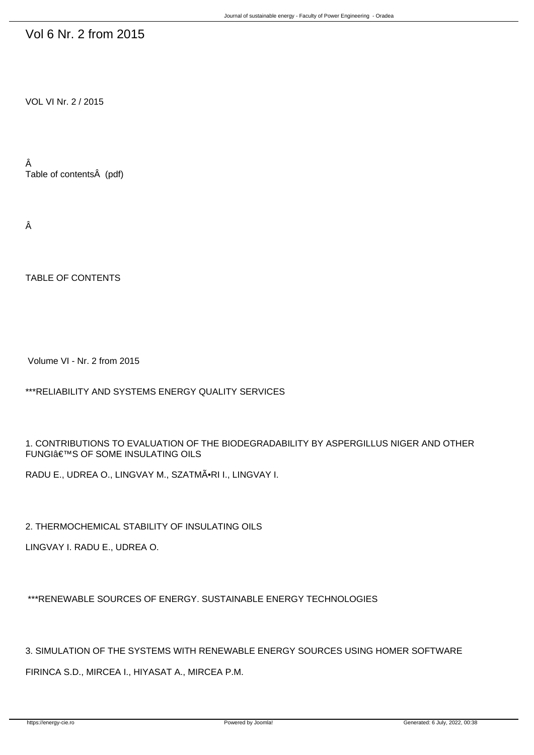## Vol 6 Nr. 2 from 2015

VOL VI Nr. 2 / 2015

Â Table of contents (pdf)

Â

TABLE OF CONTENTS

Volume VI - Nr. 2 from 2015

\*\*\*RELIABILITY AND SYSTEMS ENERGY QUALITY SERVICES

1. CONTRIBUTIONS TO EVALUATION OF THE BIODEGRADABILITY BY ASPERGILLUS NIGER AND OTHER **FUNGI€™S OF SOME INSULATING OILS** 

RADU E., UDREA O., LINGVAY M., SZATMÕRI I., LINGVAY I.

2. THERMOCHEMICAL STABILITY OF INSULATING OILS

LINGVAY I. RADU E., UDREA O.

\*\*\*RENEWABLE SOURCES OF ENERGY. SUSTAINABLE ENERGY TECHNOLOGIES

3. SIMULATION OF THE SYSTEMS WITH RENEWABLE ENERGY SOURCES USING HOMER SOFTWARE

FIRINCA S.D., MIRCEA I., HIYASAT A., MIRCEA P.M.